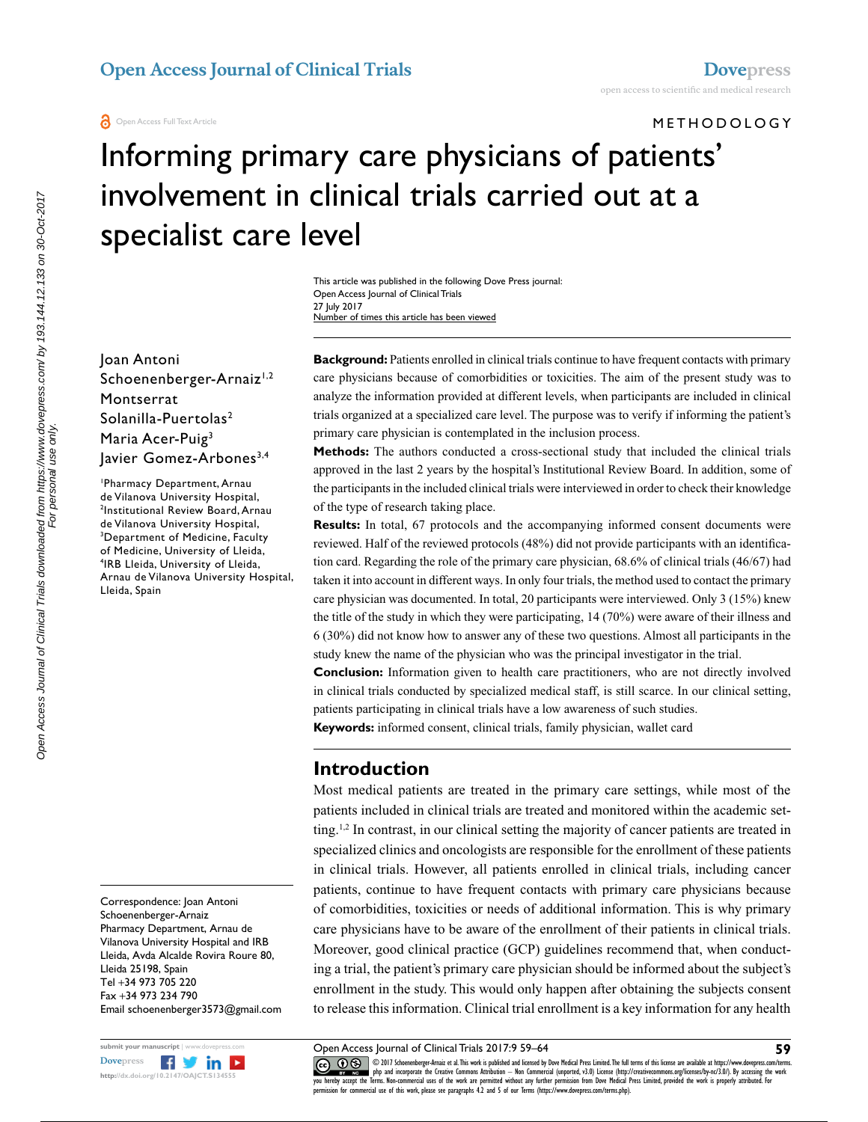#### METHODOLOGY

# Informing primary care physicians of patients' involvement in clinical trials carried out at a specialist care level

This article was published in the following Dove Press journal: Open Access Journal of Clinical Trials 27 July 2017 Number of times this article has been viewed

Joan Antoni Schoenenberger-Arnaiz<sup>1,2</sup> Montserrat Solanilla-Puertolas<sup>2</sup> Maria Acer-Puig3 Javier Gomez-Arbones<sup>3,4</sup>

1 Pharmacy Department, Arnau de Vilanova University Hospital, 2 Institutional Review Board, Arnau de Vilanova University Hospital, 3 Department of Medicine, Faculty of Medicine, University of Lleida, 4 IRB Lleida, University of Lleida, Arnau de Vilanova University Hospital, Lleida, Spain

Correspondence: Joan Antoni Schoenenberger-Arnaiz Pharmacy Department, Arnau de Vilanova University Hospital and IRB Lleida, Avda Alcalde Rovira Roure 80, Lleida 25198, Spain Tel +34 973 705 220 Fax +34 973 234 790 Email schoenenberger3573@gmail.com



**Background:** Patients enrolled in clinical trials continue to have frequent contacts with primary care physicians because of comorbidities or toxicities. The aim of the present study was to analyze the information provided at different levels, when participants are included in clinical trials organized at a specialized care level. The purpose was to verify if informing the patient's primary care physician is contemplated in the inclusion process.

**Methods:** The authors conducted a cross-sectional study that included the clinical trials approved in the last 2 years by the hospital's Institutional Review Board. In addition, some of the participants in the included clinical trials were interviewed in order to check their knowledge of the type of research taking place.

**Results:** In total, 67 protocols and the accompanying informed consent documents were reviewed. Half of the reviewed protocols (48%) did not provide participants with an identification card. Regarding the role of the primary care physician, 68.6% of clinical trials (46/67) had taken it into account in different ways. In only four trials, the method used to contact the primary care physician was documented. In total, 20 participants were interviewed. Only 3 (15%) knew the title of the study in which they were participating, 14 (70%) were aware of their illness and 6 (30%) did not know how to answer any of these two questions. Almost all participants in the study knew the name of the physician who was the principal investigator in the trial.

**Conclusion:** Information given to health care practitioners, who are not directly involved in clinical trials conducted by specialized medical staff, is still scarce. In our clinical setting, patients participating in clinical trials have a low awareness of such studies.

**Keywords:** informed consent, clinical trials, family physician, wallet card

#### **Introduction**

Most medical patients are treated in the primary care settings, while most of the patients included in clinical trials are treated and monitored within the academic setting.<sup>1,2</sup> In contrast, in our clinical setting the majority of cancer patients are treated in specialized clinics and oncologists are responsible for the enrollment of these patients in clinical trials. However, all patients enrolled in clinical trials, including cancer patients, continue to have frequent contacts with primary care physicians because of comorbidities, toxicities or needs of additional information. This is why primary care physicians have to be aware of the enrollment of their patients in clinical trials. Moreover, good clinical practice (GCP) guidelines recommend that, when conducting a trial, the patient's primary care physician should be informed about the subject's enrollment in the study. This would only happen after obtaining the subjects consent to release this information. Clinical trial enrollment is a key information for any health

Open Access Journal of Clinical Trials 2017:9 59–64

CO ODIT Schoenenberger-Arnaiz et al. This work is published and licensed by Dove Medical Press Limited. The full terms of this license are available at https://www.dovepress.com/terms.<br>You hereby accept the Terms. Non-comm permission for commercial use of this work, please see paragraphs 4.2 and 5 of our Terms (https://www.dovepress.com/terms.php).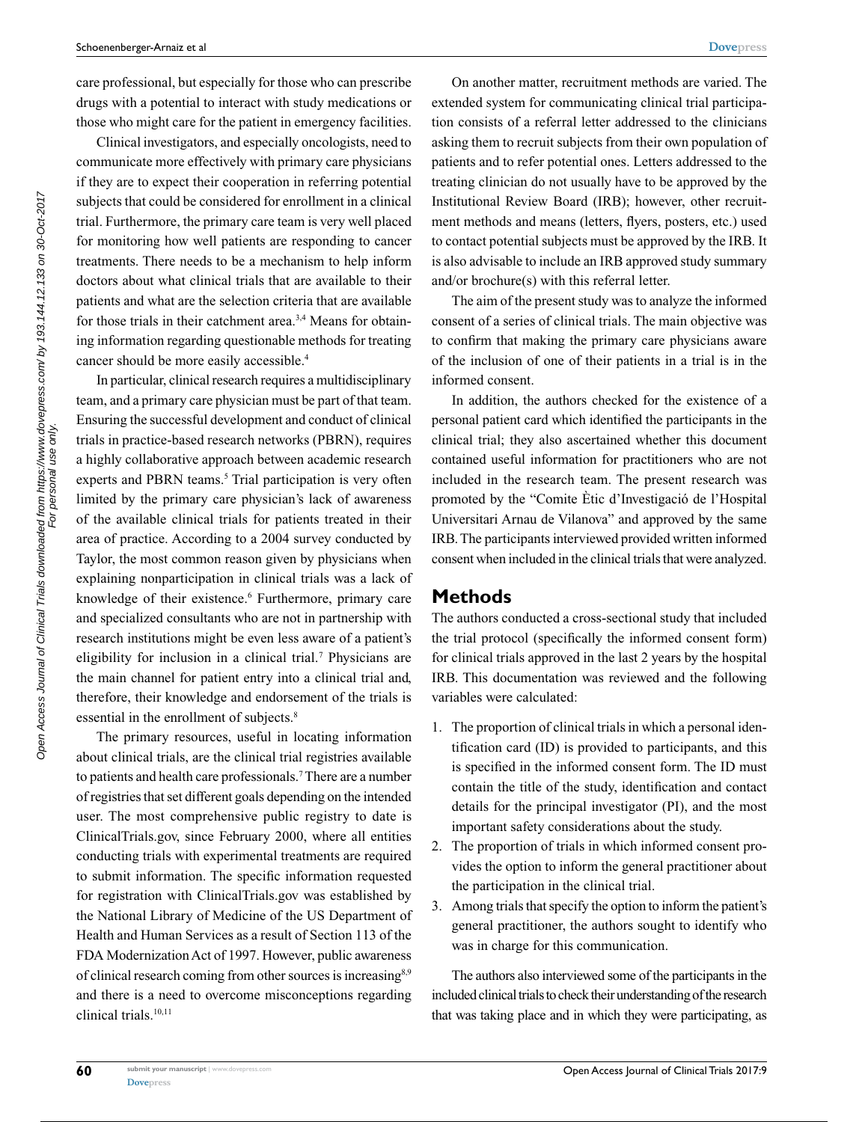care professional, but especially for those who can prescribe drugs with a potential to interact with study medications or those who might care for the patient in emergency facilities.

Clinical investigators, and especially oncologists, need to communicate more effectively with primary care physicians if they are to expect their cooperation in referring potential subjects that could be considered for enrollment in a clinical trial. Furthermore, the primary care team is very well placed for monitoring how well patients are responding to cancer treatments. There needs to be a mechanism to help inform doctors about what clinical trials that are available to their patients and what are the selection criteria that are available for those trials in their catchment area.<sup>3,4</sup> Means for obtaining information regarding questionable methods for treating cancer should be more easily accessible.<sup>4</sup>

In particular, clinical research requires a multidisciplinary team, and a primary care physician must be part of that team. Ensuring the successful development and conduct of clinical trials in practice-based research networks (PBRN), requires a highly collaborative approach between academic research experts and PBRN teams.<sup>5</sup> Trial participation is very often limited by the primary care physician's lack of awareness of the available clinical trials for patients treated in their area of practice. According to a 2004 survey conducted by Taylor, the most common reason given by physicians when explaining nonparticipation in clinical trials was a lack of knowledge of their existence.<sup>6</sup> Furthermore, primary care and specialized consultants who are not in partnership with research institutions might be even less aware of a patient's eligibility for inclusion in a clinical trial.<sup>7</sup> Physicians are the main channel for patient entry into a clinical trial and, therefore, their knowledge and endorsement of the trials is essential in the enrollment of subjects.<sup>8</sup>

The primary resources, useful in locating information about clinical trials, are the clinical trial registries available to patients and health care professionals.7 There are a number of registries that set different goals depending on the intended user. The most comprehensive public registry to date is ClinicalTrials.gov, since February 2000, where all entities conducting trials with experimental treatments are required to submit information. The specific information requested for registration with ClinicalTrials.gov was established by the National Library of Medicine of the US Department of Health and Human Services as a result of Section 113 of the FDA Modernization Act of 1997. However, public awareness of clinical research coming from other sources is increasing<sup>8,9</sup> and there is a need to overcome misconceptions regarding clinical trials.<sup>10,11</sup>

On another matter, recruitment methods are varied. The extended system for communicating clinical trial participation consists of a referral letter addressed to the clinicians asking them to recruit subjects from their own population of patients and to refer potential ones. Letters addressed to the treating clinician do not usually have to be approved by the Institutional Review Board (IRB); however, other recruitment methods and means (letters, flyers, posters, etc.) used to contact potential subjects must be approved by the IRB. It is also advisable to include an IRB approved study summary and/or brochure(s) with this referral letter.

The aim of the present study was to analyze the informed consent of a series of clinical trials. The main objective was to confirm that making the primary care physicians aware of the inclusion of one of their patients in a trial is in the informed consent.

In addition, the authors checked for the existence of a personal patient card which identified the participants in the clinical trial; they also ascertained whether this document contained useful information for practitioners who are not included in the research team. The present research was promoted by the "Comite Ètic d'Investigació de l'Hospital Universitari Arnau de Vilanova" and approved by the same IRB. The participants interviewed provided written informed consent when included in the clinical trials that were analyzed.

#### **Methods**

The authors conducted a cross-sectional study that included the trial protocol (specifically the informed consent form) for clinical trials approved in the last 2 years by the hospital IRB. This documentation was reviewed and the following variables were calculated:

- 1. The proportion of clinical trials in which a personal identification card (ID) is provided to participants, and this is specified in the informed consent form. The ID must contain the title of the study, identification and contact details for the principal investigator (PI), and the most important safety considerations about the study.
- 2. The proportion of trials in which informed consent provides the option to inform the general practitioner about the participation in the clinical trial.
- 3. Among trials that specify the option to inform the patient's general practitioner, the authors sought to identify who was in charge for this communication.

The authors also interviewed some of the participants in the included clinical trials to check their understanding of the research that was taking place and in which they were participating, as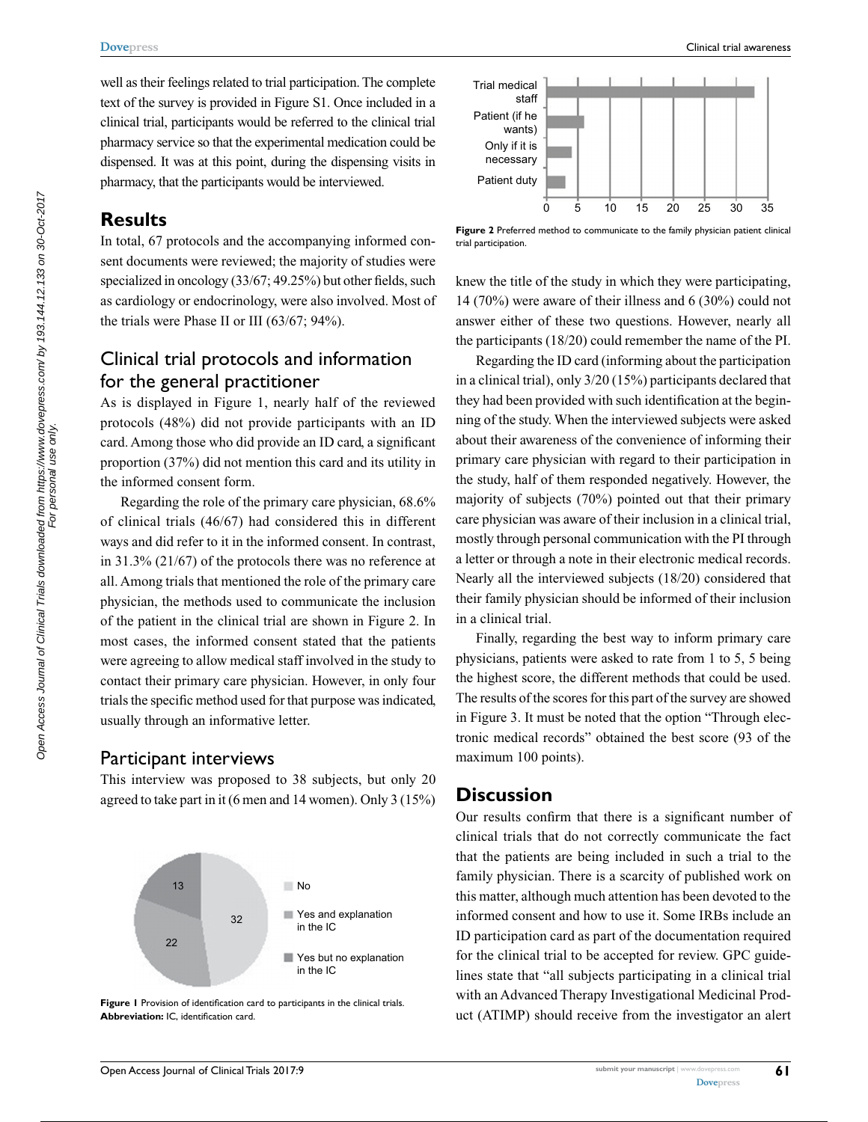#### **[Dovepress](www.dovepress.com)**

well as their feelings related to trial participation. The complete text of the survey is provided in Figure S1. Once included in a clinical trial, participants would be referred to the clinical trial pharmacy service so that the experimental medication could be dispensed. It was at this point, during the dispensing visits in pharmacy, that the participants would be interviewed.

### **Results**

In total, 67 protocols and the accompanying informed consent documents were reviewed; the majority of studies were specialized in oncology (33/67; 49.25%) but other fields, such as cardiology or endocrinology, were also involved. Most of the trials were Phase II or III (63/67; 94%).

## Clinical trial protocols and information for the general practitioner

As is displayed in Figure 1, nearly half of the reviewed protocols (48%) did not provide participants with an ID card. Among those who did provide an ID card, a significant proportion (37%) did not mention this card and its utility in the informed consent form.

Regarding the role of the primary care physician, 68.6% of clinical trials (46/67) had considered this in different ways and did refer to it in the informed consent. In contrast, in 31.3% (21/67) of the protocols there was no reference at all. Among trials that mentioned the role of the primary care physician, the methods used to communicate the inclusion of the patient in the clinical trial are shown in Figure 2. In most cases, the informed consent stated that the patients were agreeing to allow medical staff involved in the study to contact their primary care physician. However, in only four trials the specific method used for that purpose was indicated, usually through an informative letter.

#### Participant interviews

This interview was proposed to 38 subjects, but only 20 agreed to take part in it (6 men and 14 women). Only 3 (15%)



**Figure 1** Provision of identification card to participants in the clinical trials. **Abbreviation:** IC, identification card.



**Figure 2** Preferred method to communicate to the family physician patient clinical trial participation.

knew the title of the study in which they were participating, 14 (70%) were aware of their illness and 6 (30%) could not answer either of these two questions. However, nearly all the participants (18/20) could remember the name of the PI.

Regarding the ID card (informing about the participation in a clinical trial), only 3/20 (15%) participants declared that they had been provided with such identification at the beginning of the study. When the interviewed subjects were asked about their awareness of the convenience of informing their primary care physician with regard to their participation in the study, half of them responded negatively. However, the majority of subjects (70%) pointed out that their primary care physician was aware of their inclusion in a clinical trial, mostly through personal communication with the PI through a letter or through a note in their electronic medical records. Nearly all the interviewed subjects (18/20) considered that their family physician should be informed of their inclusion in a clinical trial.

Finally, regarding the best way to inform primary care physicians, patients were asked to rate from 1 to 5, 5 being the highest score, the different methods that could be used. The results of the scores for this part of the survey are showed in Figure 3. It must be noted that the option "Through electronic medical records" obtained the best score (93 of the maximum 100 points).

## **Discussion**

Our results confirm that there is a significant number of clinical trials that do not correctly communicate the fact that the patients are being included in such a trial to the family physician. There is a scarcity of published work on this matter, although much attention has been devoted to the informed consent and how to use it. Some IRBs include an ID participation card as part of the documentation required for the clinical trial to be accepted for review. GPC guidelines state that "all subjects participating in a clinical trial with an Advanced Therapy Investigational Medicinal Product (ATIMP) should receive from the investigator an alert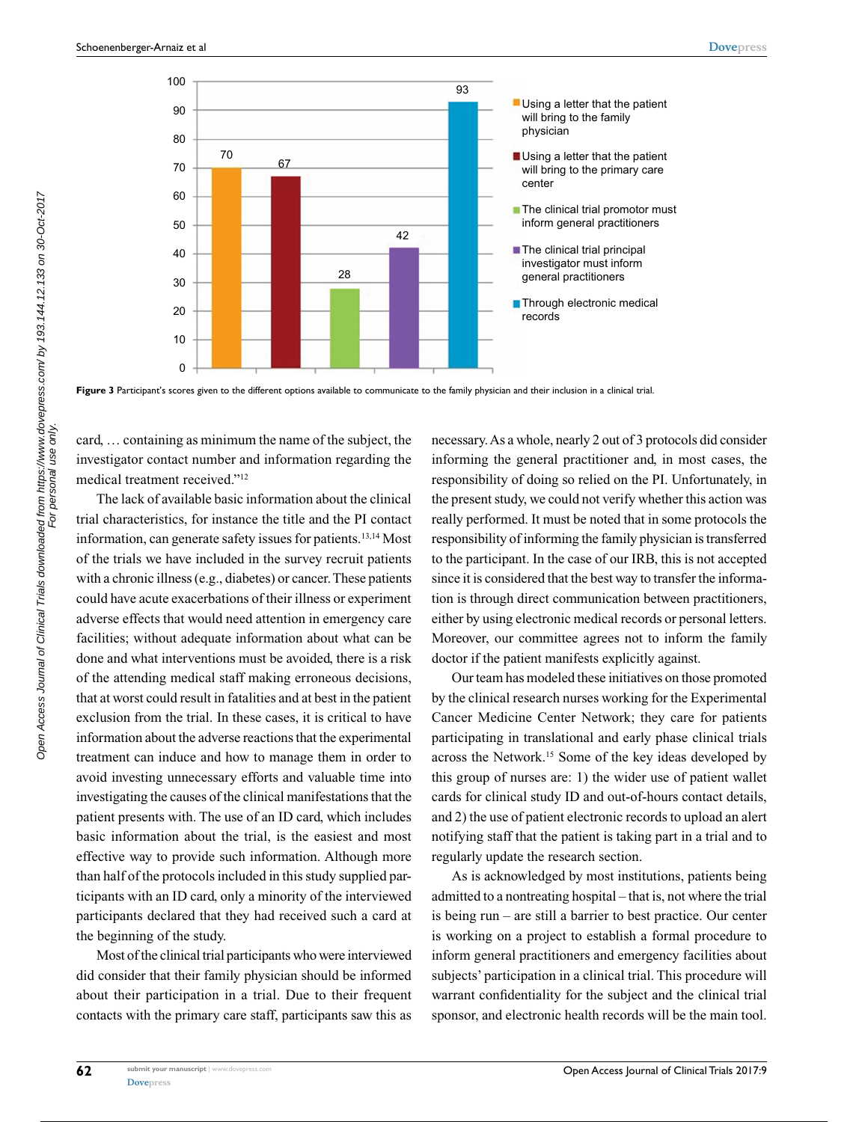

**Figure 3** Participant's scores given to the different options available to communicate to the family physician and their inclusion in a clinical trial.

card, … containing as minimum the name of the subject, the investigator contact number and information regarding the medical treatment received."12

The lack of available basic information about the clinical trial characteristics, for instance the title and the PI contact information, can generate safety issues for patients.13,14 Most of the trials we have included in the survey recruit patients with a chronic illness (e.g., diabetes) or cancer. These patients could have acute exacerbations of their illness or experiment adverse effects that would need attention in emergency care facilities; without adequate information about what can be done and what interventions must be avoided, there is a risk of the attending medical staff making erroneous decisions, that at worst could result in fatalities and at best in the patient exclusion from the trial. In these cases, it is critical to have information about the adverse reactions that the experimental treatment can induce and how to manage them in order to avoid investing unnecessary efforts and valuable time into investigating the causes of the clinical manifestations that the patient presents with. The use of an ID card, which includes basic information about the trial, is the easiest and most effective way to provide such information. Although more than half of the protocols included in this study supplied participants with an ID card, only a minority of the interviewed participants declared that they had received such a card at the beginning of the study.

Most of the clinical trial participants who were interviewed did consider that their family physician should be informed about their participation in a trial. Due to their frequent contacts with the primary care staff, participants saw this as necessary. As a whole, nearly 2 out of 3 protocols did consider informing the general practitioner and, in most cases, the responsibility of doing so relied on the PI. Unfortunately, in the present study, we could not verify whether this action was really performed. It must be noted that in some protocols the responsibility of informing the family physician is transferred to the participant. In the case of our IRB, this is not accepted since it is considered that the best way to transfer the information is through direct communication between practitioners, either by using electronic medical records or personal letters. Moreover, our committee agrees not to inform the family doctor if the patient manifests explicitly against.

Our team has modeled these initiatives on those promoted by the clinical research nurses working for the Experimental Cancer Medicine Center Network; they care for patients participating in translational and early phase clinical trials across the Network.15 Some of the key ideas developed by this group of nurses are: 1) the wider use of patient wallet cards for clinical study ID and out-of-hours contact details, and 2) the use of patient electronic records to upload an alert notifying staff that the patient is taking part in a trial and to regularly update the research section.

As is acknowledged by most institutions, patients being admitted to a nontreating hospital – that is, not where the trial is being run – are still a barrier to best practice. Our center is working on a project to establish a formal procedure to inform general practitioners and emergency facilities about subjects' participation in a clinical trial. This procedure will warrant confidentiality for the subject and the clinical trial sponsor, and electronic health records will be the main tool.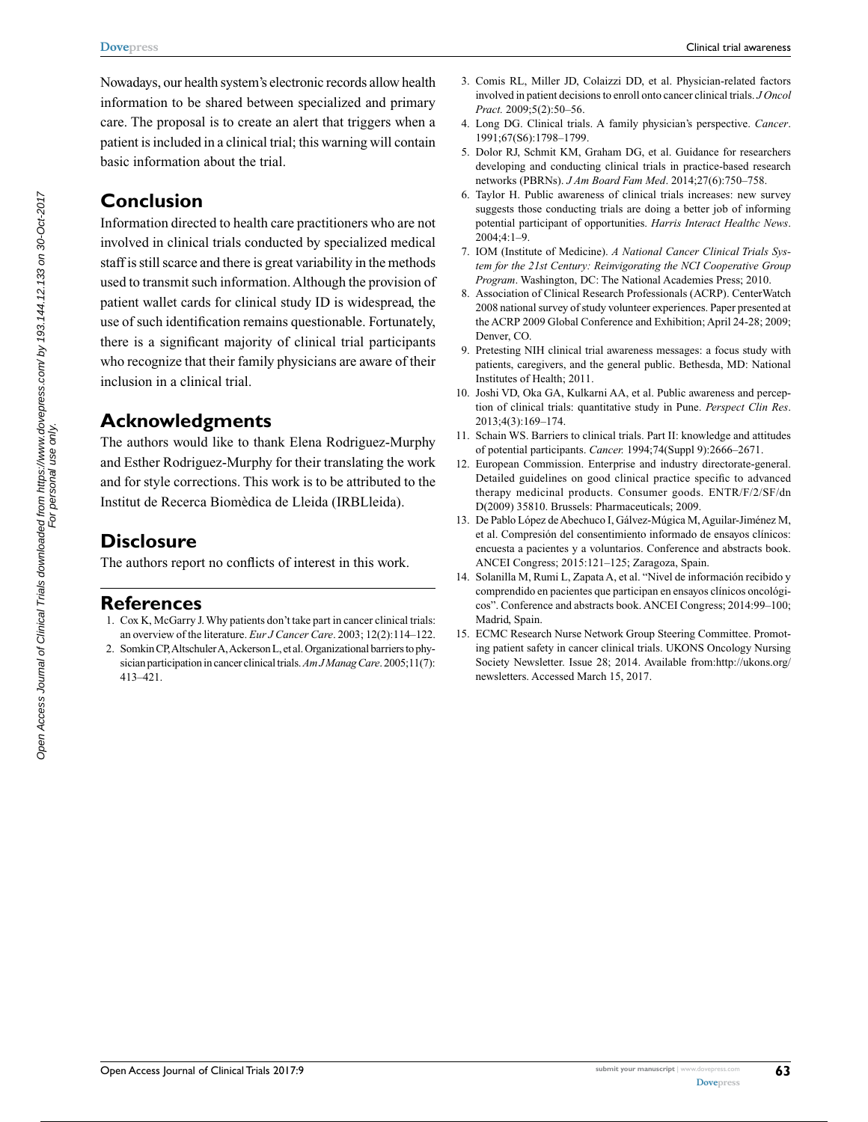Clinical trial awareness

Nowadays, our health system's electronic records allow health information to be shared between specialized and primary care. The proposal is to create an alert that triggers when a patient is included in a clinical trial; this warning will contain basic information about the trial.

## **Conclusion**

Information directed to health care practitioners who are not involved in clinical trials conducted by specialized medical staff is still scarce and there is great variability in the methods used to transmit such information. Although the provision of patient wallet cards for clinical study ID is widespread, the use of such identification remains questionable. Fortunately, there is a significant majority of clinical trial participants who recognize that their family physicians are aware of their inclusion in a clinical trial.

## **Acknowledgments**

The authors would like to thank Elena Rodriguez-Murphy and Esther Rodriguez-Murphy for their translating the work and for style corrections. This work is to be attributed to the Institut de Recerca Biomèdica de Lleida (IRBLleida).

## **Disclosure**

The authors report no conflicts of interest in this work.

#### **References**

- 1. [Cox K](https://www.ncbi.nlm.nih.gov/pubmed/?term=Cox%20K%5BAuthor%5D&cauthor=true&cauthor_uid=12787008), [McGarry J](https://www.ncbi.nlm.nih.gov/pubmed/?term=McGarry%20J%5BAuthor%5D&cauthor=true&cauthor_uid=12787008). Why patients don't take part in cancer clinical trials: an overview of the literature. *[Eur J Cancer Care](https://www.ncbi.nlm.nih.gov/pubmed/?term=Cox+and+McGarry+and+2003)*. 2003; 12(2):114–122.
- 2. [Somkin CP](https://www.ncbi.nlm.nih.gov/pubmed/?term=Somkin%20CP%5BAuthor%5D&cauthor=true&cauthor_uid=16044978), [Altschuler A](https://www.ncbi.nlm.nih.gov/pubmed/?term=Altschuler%20A%5BAuthor%5D&cauthor=true&cauthor_uid=16044978), [Ackerson L,](https://www.ncbi.nlm.nih.gov/pubmed/?term=Ackerson%20L%5BAuthor%5D&cauthor=true&cauthor_uid=16044978) et al. Organizational barriers to physician participation in cancer clinical trials. *[Am J Manag Care](https://www.ncbi.nlm.nih.gov/pubmed/16044978)*. 2005;11(7): 413–421.
- 3. Comis RL, Miller JD, Colaizzi DD, et al. Physician-related factors involved in patient decisions to enroll onto cancer clinical trials. *J Oncol Pract.* 2009;5(2):50–56.
- 4. Long DG. Clinical trials. A family physician's perspective. *Cancer*. 1991;67(S6):1798–1799.
- 5. Dolor RJ, Schmit KM, Graham DG, et al. Guidance for researchers developing and conducting clinical trials in practice-based research networks (PBRNs). *J Am Board Fam Med*. 2014;27(6):750–758.
- 6. Taylor H. Public awareness of clinical trials increases: new survey suggests those conducting trials are doing a better job of informing potential participant of opportunities. *Harris Interact Healthc News*. 2004;4:1–9.
- 7. IOM (Institute of Medicine). *A National Cancer Clinical Trials System for the 21st Century: Reinvigorating the NCI Cooperative Group Program*. Washington, DC: The National Academies Press; 2010.
- 8. Association of Clinical Research Professionals (ACRP). CenterWatch 2008 national survey of study volunteer experiences. Paper presented at the ACRP 2009 Global Conference and Exhibition; April 24-28; 2009; Denver, CO.
- 9. Pretesting NIH clinical trial awareness messages: a focus study with patients, caregivers, and the general public. Bethesda, MD: National Institutes of Health; 2011.
- 10. Joshi VD, Oka GA, Kulkarni AA, et al. Public awareness and perception of clinical trials: quantitative study in Pune. *Perspect Clin Res*. 2013;4(3):169–174.
- 11. [Schain WS](https://www.ncbi.nlm.nih.gov/pubmed/?term=Schain%20WS%5BAuthor%5D&cauthor=true&cauthor_uid=7954283). Barriers to clinical trials. Part II: knowledge and attitudes of potential participants. *[Cancer.](https://www.ncbi.nlm.nih.gov/pubmed/7954283)* 1994;74(Suppl 9):2666–2671.
- 12. European Commission. Enterprise and industry directorate-general. Detailed guidelines on good clinical practice specific to advanced therapy medicinal products. Consumer goods. ENTR/F/2/SF/dn D(2009) 35810. Brussels: Pharmaceuticals; 2009.
- 13. De Pablo López de Abechuco I, Gálvez-Múgica M, Aguilar-Jiménez M, et al. Compresión del consentimiento informado de ensayos clínicos: encuesta a pacientes y a voluntarios. Conference and abstracts book. ANCEI Congress; 2015:121–125; Zaragoza, Spain.
- 14. Solanilla M, Rumi L, Zapata A, et al. "Nivel de información recibido y comprendido en pacientes que participan en ensayos clínicos oncológicos". Conference and abstracts book. ANCEI Congress; 2014:99–100; Madrid, Spain.
- 15. ECMC Research Nurse Network Group Steering Committee. Promoting patient safety in cancer clinical trials. UKONS Oncology Nursing Society Newsletter. Issue 28; 2014. Available from[:http://ukons.org/](http://ukons.org/newsletters) [newsletters](http://ukons.org/newsletters). Accessed March 15, 2017.